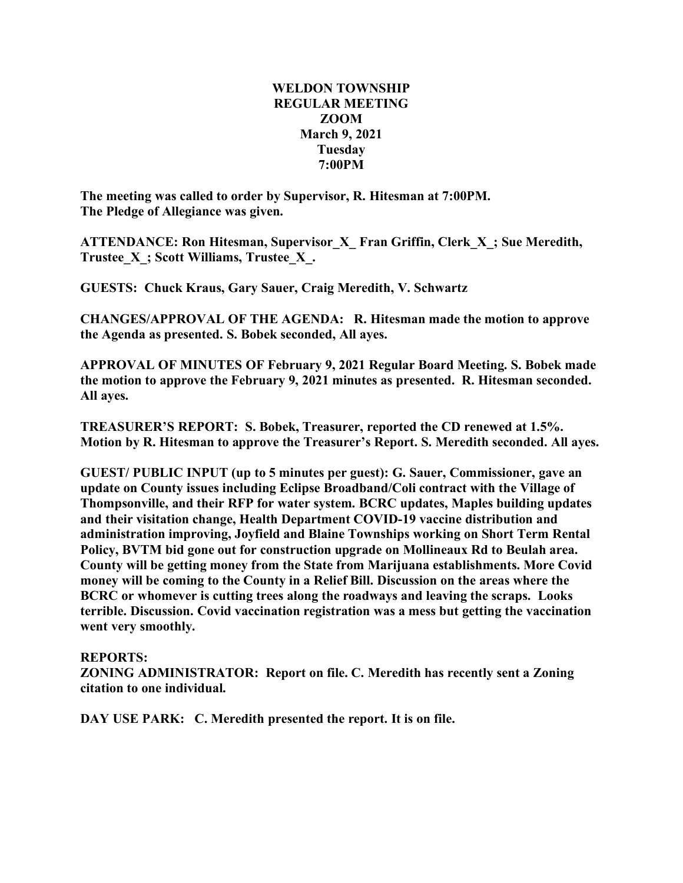## **WELDON TOWNSHIP REGULAR MEETING ZOOM March 9, 2021 Tuesday 7:00PM**

**The meeting was called to order by Supervisor, R. Hitesman at 7:00PM. The Pledge of Allegiance was given.**

**ATTENDANCE: Ron Hitesman, Supervisor\_X\_ Fran Griffin, Clerk\_X\_; Sue Meredith, Trustee\_X\_; Scott Williams, Trustee\_X\_.**

**GUESTS: Chuck Kraus, Gary Sauer, Craig Meredith, V. Schwartz**

**CHANGES/APPROVAL OF THE AGENDA: R. Hitesman made the motion to approve the Agenda as presented. S. Bobek seconded, All ayes.**

**APPROVAL OF MINUTES OF February 9, 2021 Regular Board Meeting. S. Bobek made the motion to approve the February 9, 2021 minutes as presented. R. Hitesman seconded. All ayes.**

**TREASURER'S REPORT: S. Bobek, Treasurer, reported the CD renewed at 1.5%. Motion by R. Hitesman to approve the Treasurer's Report. S. Meredith seconded. All ayes.**

**GUEST/ PUBLIC INPUT (up to 5 minutes per guest): G. Sauer, Commissioner, gave an update on County issues including Eclipse Broadband/Coli contract with the Village of Thompsonville, and their RFP for water system. BCRC updates, Maples building updates and their visitation change, Health Department COVID-19 vaccine distribution and administration improving, Joyfield and Blaine Townships working on Short Term Rental Policy, BVTM bid gone out for construction upgrade on Mollineaux Rd to Beulah area. County will be getting money from the State from Marijuana establishments. More Covid money will be coming to the County in a Relief Bill. Discussion on the areas where the BCRC or whomever is cutting trees along the roadways and leaving the scraps. Looks terrible. Discussion. Covid vaccination registration was a mess but getting the vaccination went very smoothly.**

## **REPORTS:**

**ZONING ADMINISTRATOR: Report on file. C. Meredith has recently sent a Zoning citation to one individual.**

**DAY USE PARK: C. Meredith presented the report. It is on file.**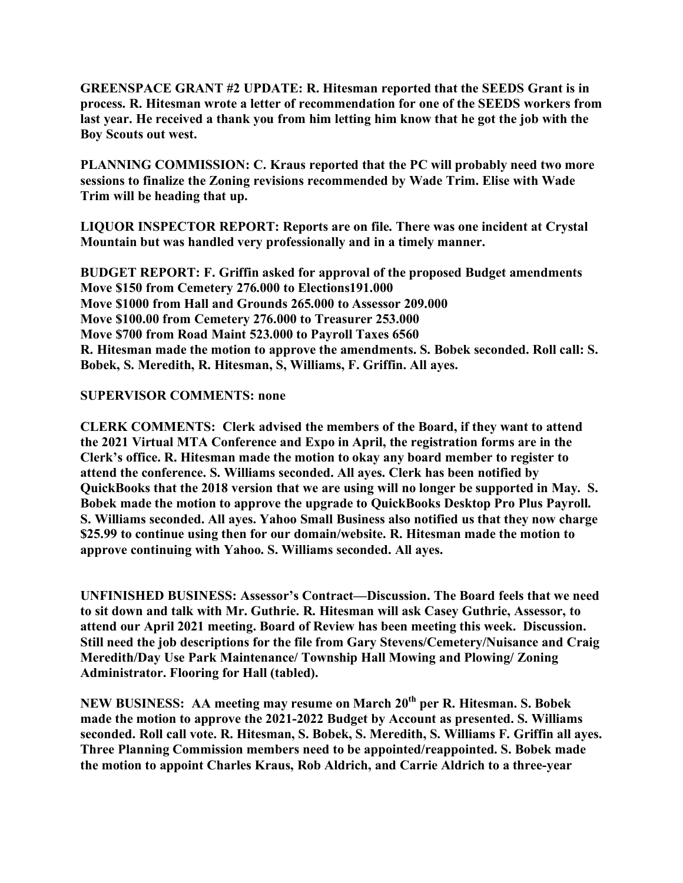**GREENSPACE GRANT #2 UPDATE: R. Hitesman reported that the SEEDS Grant is in process. R. Hitesman wrote a letter of recommendation for one of the SEEDS workers from last year. He received a thank you from him letting him know that he got the job with the Boy Scouts out west.**

**PLANNING COMMISSION: C. Kraus reported that the PC will probably need two more sessions to finalize the Zoning revisions recommended by Wade Trim. Elise with Wade Trim will be heading that up.**

**LIQUOR INSPECTOR REPORT: Reports are on file. There was one incident at Crystal Mountain but was handled very professionally and in a timely manner.**

**BUDGET REPORT: F. Griffin asked for approval of the proposed Budget amendments Move \$150 from Cemetery 276.000 to Elections191.000 Move \$1000 from Hall and Grounds 265.000 to Assessor 209.000 Move \$100.00 from Cemetery 276.000 to Treasurer 253.000 Move \$700 from Road Maint 523.000 to Payroll Taxes 6560 R. Hitesman made the motion to approve the amendments. S. Bobek seconded. Roll call: S. Bobek, S. Meredith, R. Hitesman, S, Williams, F. Griffin. All ayes.**

## **SUPERVISOR COMMENTS: none**

**CLERK COMMENTS: Clerk advised the members of the Board, if they want to attend the 2021 Virtual MTA Conference and Expo in April, the registration forms are in the Clerk's office. R. Hitesman made the motion to okay any board member to register to attend the conference. S. Williams seconded. All ayes. Clerk has been notified by QuickBooks that the 2018 version that we are using will no longer be supported in May. S. Bobek made the motion to approve the upgrade to QuickBooks Desktop Pro Plus Payroll. S. Williams seconded. All ayes. Yahoo Small Business also notified us that they now charge \$25.99 to continue using then for our domain/website. R. Hitesman made the motion to approve continuing with Yahoo. S. Williams seconded. All ayes.**

**UNFINISHED BUSINESS: Assessor's Contract—Discussion. The Board feels that we need to sit down and talk with Mr. Guthrie. R. Hitesman will ask Casey Guthrie, Assessor, to attend our April 2021 meeting. Board of Review has been meeting this week. Discussion. Still need the job descriptions for the file from Gary Stevens/Cemetery/Nuisance and Craig Meredith/Day Use Park Maintenance/ Township Hall Mowing and Plowing/ Zoning Administrator. Flooring for Hall (tabled).**

**NEW BUSINESS: AA meeting may resume on March 20th per R. Hitesman. S. Bobek made the motion to approve the 2021-2022 Budget by Account as presented. S. Williams seconded. Roll call vote. R. Hitesman, S. Bobek, S. Meredith, S. Williams F. Griffin all ayes. Three Planning Commission members need to be appointed/reappointed. S. Bobek made the motion to appoint Charles Kraus, Rob Aldrich, and Carrie Aldrich to a three-year**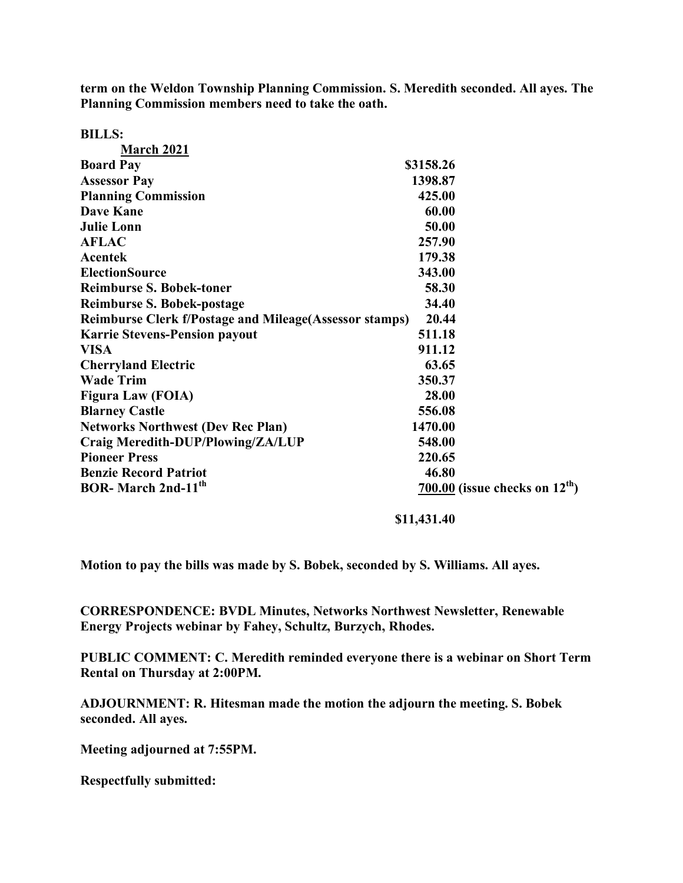**term on the Weldon Township Planning Commission. S. Meredith seconded. All ayes. The Planning Commission members need to take the oath.**

| <b>BILLS:</b>                                                  |                                    |
|----------------------------------------------------------------|------------------------------------|
| <b>March 2021</b>                                              |                                    |
| <b>Board Pay</b>                                               | \$3158.26                          |
| <b>Assessor Pay</b>                                            | 1398.87                            |
| <b>Planning Commission</b>                                     | 425.00                             |
| <b>Dave Kane</b>                                               | 60.00                              |
| <b>Julie Lonn</b>                                              | 50.00                              |
| <b>AFLAC</b>                                                   | 257.90                             |
| <b>Acentek</b>                                                 | 179.38                             |
| <b>ElectionSource</b>                                          | 343.00                             |
| <b>Reimburse S. Bobek-toner</b>                                | 58.30                              |
| <b>Reimburse S. Bobek-postage</b>                              | 34.40                              |
| <b>Reimburse Clerk f/Postage and Mileage (Assessor stamps)</b> | 20.44                              |
| <b>Karrie Stevens-Pension payout</b>                           | 511.18                             |
| <b>VISA</b>                                                    | 911.12                             |
| <b>Cherryland Electric</b>                                     | 63.65                              |
| <b>Wade Trim</b>                                               | 350.37                             |
| <b>Figura Law (FOIA)</b>                                       | 28.00                              |
| <b>Blarney Castle</b>                                          | 556.08                             |
| <b>Networks Northwest (Dev Rec Plan)</b>                       | 1470.00                            |
| Craig Meredith-DUP/Plowing/ZA/LUP                              | 548.00                             |
| <b>Pioneer Press</b>                                           | 220.65                             |
| <b>Benzie Record Patriot</b>                                   | 46.80                              |
| <b>BOR-March 2nd-11th</b>                                      | $700.00$ (issue checks on $12th$ ) |

**\$11,431.40**

**Motion to pay the bills was made by S. Bobek, seconded by S. Williams. All ayes.**

**CORRESPONDENCE: BVDL Minutes, Networks Northwest Newsletter, Renewable Energy Projects webinar by Fahey, Schultz, Burzych, Rhodes.**

**PUBLIC COMMENT: C. Meredith reminded everyone there is a webinar on Short Term Rental on Thursday at 2:00PM.**

**ADJOURNMENT: R. Hitesman made the motion the adjourn the meeting. S. Bobek seconded. All ayes.**

**Meeting adjourned at 7:55PM.**

**Respectfully submitted:**